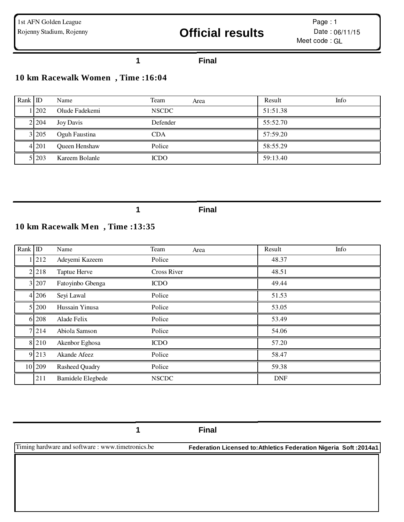#### **Final**

#### **10 km Racewalk Women , Time :16:04**

| Rank ID |         | Name           | Team<br>Area | Info<br>Result |
|---------|---------|----------------|--------------|----------------|
|         | 1 202   | Olude Fadekemi | <b>NSCDC</b> | 51:51.38       |
|         | 2 2 0 4 | Joy Davis      | Defender     | 55:52.70       |
|         | 3 2 0 5 | Oguh Faustina  | <b>CDA</b>   | 57:59.20       |
|         | 4 2 0 1 | Queen Henshaw  | Police       | 58:55.29       |
|         | 5 203   | Kareem Bolanle | <b>ICDO</b>  | 59:13.40       |

**Final**

#### **10 km Racewalk Men , Time :13:35**

| Rank ID |         | Name                     | Team               | Area | Result     | Info |
|---------|---------|--------------------------|--------------------|------|------------|------|
|         | 212     | Adeyemi Kazeem           | Police             |      | 48.37      |      |
|         | 2 2 1 8 | Taptue Herve             | <b>Cross River</b> |      | 48.51      |      |
|         | 3 207   | Fatoyinbo Gbenga         | <b>ICDO</b>        |      | 49.44      |      |
|         | 4 206   | Seyi Lawal               | Police             |      | 51.53      |      |
|         | 5 200   | Hussain Yinusa           | Police             |      | 53.05      |      |
|         | 6 208   | Alade Felix              | Police             |      | 53.49      |      |
|         | 7 2 1 4 | Abiola Samson            | Police             |      | 54.06      |      |
|         | 8 2 1 0 | Akenbor Eghosa           | <b>ICDO</b>        |      | 57.20      |      |
|         | 9 213   | Akande Afeez             | Police             |      | 58.47      |      |
|         | 10 209  | <b>Rasheed Quadry</b>    | Police             |      | 59.38      |      |
|         | 211     | <b>Bamidele Elegbede</b> | <b>NSCDC</b>       |      | <b>DNF</b> |      |

**Final**

Timing hardware and software : www.timetronics.be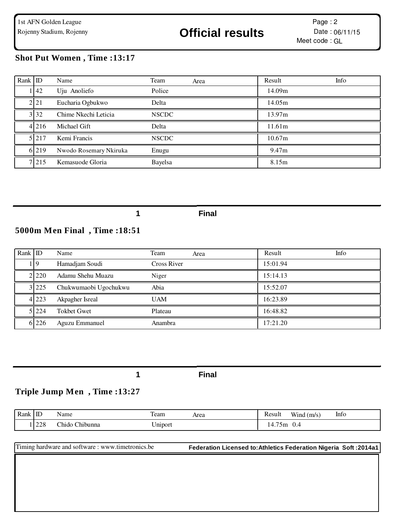#### **Shot Put Women , Time :13:17**

| Rank ID |                   | Name                   | Team<br>Area | Info<br>Result |
|---------|-------------------|------------------------|--------------|----------------|
|         | $\overline{142}$  | Uju Anoliefo           | Police       | 14.09m         |
|         | 2 <sub>1</sub> 21 | Eucharia Ogbukwo       | Delta        | 14.05m         |
|         | 3 3 2             | Chime Nkechi Leticia   | <b>NSCDC</b> | 13.97m         |
|         | 4 2 1 6           | Michael Gift           | Delta        | 11.61m         |
|         | 5 2 1 7           | Kemi Francis           | <b>NSCDC</b> | 10.67m         |
|         | 6 2 1 9           | Nwodo Rosemary Nkiruka | Enugu        | 9.47m          |
|         | 7 2 1 5           | Kemasuode Gloria       | Bayelsa      | 8.15m          |

**1 Final**

# **5000m Men Final , Time :18:51**

| Rank ID |           | Name                  | Team<br>Area       | Info<br>Result |
|---------|-----------|-----------------------|--------------------|----------------|
|         | 119       | Hamadjam Soudi        | <b>Cross River</b> | 15:01.94       |
|         | 2 2 2 2 0 | Adamu Shehu Muazu     | Niger              | 15:14.13       |
|         | 3 225     | Chukwumaobi Ugochukwu | Abia               | 15:52.07       |
|         | 4 2 2 3   | Akpagher Isreal       | <b>UAM</b>         | 16:23.89       |
|         | 5 224     | <b>Tokbet Gwet</b>    | Plateau            | 16:48.82       |
|         | 6 226     | Aguzu Emmanuel        | Anambra            | 17:21.20       |

**1 Final**

#### **Triple Jump Men , Time :13:27**

| Rank | $\mathbb{ID}$   | <b>T</b><br>Name                            | m<br>Team       | Area | Result                                             | <b>TT 7*</b><br>(m/s<br>W <sub>1</sub> nd | Info |
|------|-----------------|---------------------------------------------|-----------------|------|----------------------------------------------------|-------------------------------------------|------|
|      | ، ۱۵۵۴<br>I 440 | $\sim$ $\sim$<br>$\sim$<br>hido:<br>hibunna | $ -$<br>Jn1port |      | $- -$<br>$^{\prime}$ om<br>$\overline{\mathbf{4}}$ | ∪.∸                                       |      |

| Timing hardware and software: www.timetronics.be | Federation Licensed to: Athletics Federation Nigeria Soft: 2014a1 |
|--------------------------------------------------|-------------------------------------------------------------------|
|                                                  |                                                                   |
|                                                  |                                                                   |
|                                                  |                                                                   |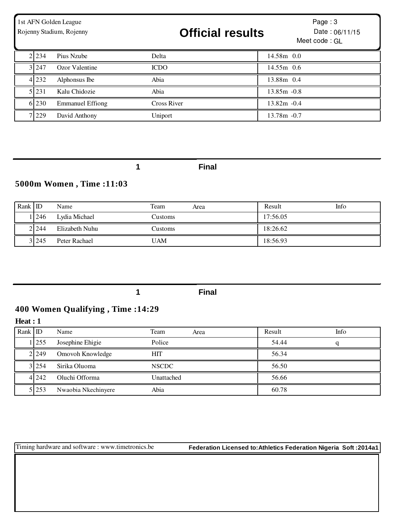| 1st AFN Golden League<br>Rojenny Stadium, Rojenny |           |                         | <b>Official results</b> | Page: $3$<br>Date: 06/11/15<br>Meet code: GL |  |
|---------------------------------------------------|-----------|-------------------------|-------------------------|----------------------------------------------|--|
|                                                   | 2 2 2 3 4 | Pius Nzube              | Delta                   | 14.58m 0.0                                   |  |
|                                                   | 3 2 4 7   | Ozor Valentine          | <b>ICDO</b>             | $14.55m$ 0.6                                 |  |
|                                                   | 4 2 3 2   | Alphonsus Ibe           | Abia                    | 13.88m 0.4                                   |  |
|                                                   | 5 2 3 1   | Kalu Chidozie           | Abia                    | $13.85m - 0.8$                               |  |
|                                                   | 6 230     | <b>Emmanuel Effiong</b> | <b>Cross River</b>      | $13.82m - 0.4$                               |  |
|                                                   | 7 2 2 9   | David Anthony           | Uniport                 | $13.78m - 0.7$                               |  |

# **5000m Women , Time :11:03**

| Rank ID |         | Name           | Team<br>Area | Info<br>Result |
|---------|---------|----------------|--------------|----------------|
|         | 1246    | Lydia Michael  | Customs      | 17:56.05       |
|         | 2 2 4 4 | Elizabeth Nuhu | Customs      | 18:26.62       |
|         | 3 2 4 5 | Peter Rachael  | UAM          | 18:56.93       |

**1 Final**

# **400 Women Qualifying , Time :14:29**

**Heat : 1**

| $Rank$ ID |           | Name                | Team<br>Area | Result | Info |
|-----------|-----------|---------------------|--------------|--------|------|
|           | 11255     | Josephine Ehigie    | Police       | 54.44  |      |
|           | 2 2 2 4 9 | Omovoh Knowledge    | <b>HIT</b>   | 56.34  |      |
|           | 3 2 5 4   | Sirika Oluoma       | <b>NSCDC</b> | 56.50  |      |
|           | 4 2 4 2   | Oluchi Offorma      | Unattached   | 56.66  |      |
|           | 5 253     | Nwaobia Nkechinyere | Abia         | 60.78  |      |

Timing hardware and software : www.timetronics.be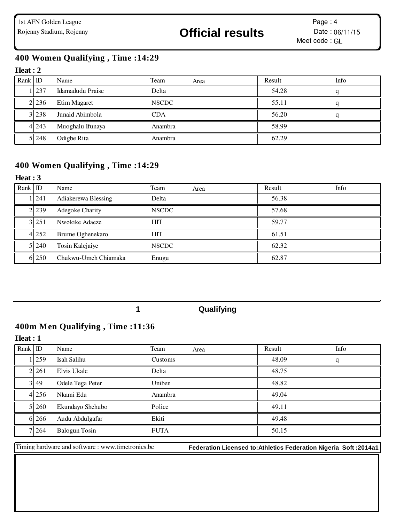### **400 Women Qualifying , Time :14:29**

#### **Heat : 2**

| Rank ID |         | Name             | Team<br>Area | Result | Info |
|---------|---------|------------------|--------------|--------|------|
|         | 1 237   | Idamadudu Praise | Delta        | 54.28  |      |
|         | 2 2 3 6 | Etim Magaret     | <b>NSCDC</b> | 55.11  |      |
|         | 3 2 3 8 | Junaid Abimbola  | <b>CDA</b>   | 56.20  |      |
|         | 4 2 4 3 | Muoghalu Ifunaya | Anambra      | 58.99  |      |
|         | 5 2 4 8 | Odigbe Rita      | Anambra      | 62.29  |      |

#### **400 Women Qualifying , Time :14:29**

#### **Heat : 3**

| Rank ID |           | Name                 | Team         | Area | Result | Info |
|---------|-----------|----------------------|--------------|------|--------|------|
|         | 1241      | Adiakerewa Blessing  | Delta        |      | 56.38  |      |
|         | 2 2 2 3 9 | Adegoke Charity      | <b>NSCDC</b> |      | 57.68  |      |
|         | 3 2 5 1   | Nwokike Adaeze       | <b>HIT</b>   |      | 59.77  |      |
|         | 4 252     | Brume Oghenekaro     | <b>HIT</b>   |      | 61.51  |      |
|         | 5 240     | Tosin Kalejaiye      | <b>NSCDC</b> |      | 62.32  |      |
|         | 6 250     | Chukwu-Umeh Chiamaka | Enugu        |      | 62.87  |      |

#### **1 Qualifying**

#### **400m Men Qualifying , Time :11:36**

#### **Heat : 1**

| Rank ID |         | Name                 | Team        | Area | Result | Info |
|---------|---------|----------------------|-------------|------|--------|------|
|         | 1259    | Isah Salihu          | Customs     |      | 48.09  | q    |
|         | 2 2 6 1 | Elvis Ukale          | Delta       |      | 48.75  |      |
|         | 3 49    | Odele Tega Peter     | Uniben      |      | 48.82  |      |
|         | 4 256   | Nkami Edu            | Anambra     |      | 49.04  |      |
|         | 5 260   | Ekundayo Shehubo     | Police      |      | 49.11  |      |
|         | 6 26 6  | Audu Abdulgafar      | Ekiti       |      | 49.48  |      |
|         | 7 264   | <b>Balogun Tosin</b> | <b>FUTA</b> |      | 50.15  |      |

Timing hardware and software : www.timetronics.be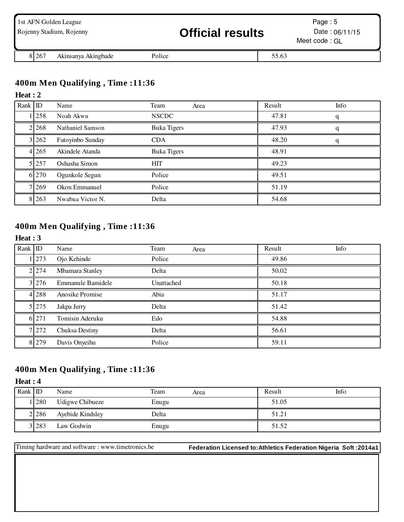| 1st AFN Golden League | Rojenny Stadium, Rojenny |        | <b>Official results</b> |       | Page: $5$<br>Date: $06/11/15$<br>Meet code: GL |
|-----------------------|--------------------------|--------|-------------------------|-------|------------------------------------------------|
| 8 2 6 7               | Akinsanya Akingbade      | Police |                         | 55.63 |                                                |

### **400m Men Qualifying , Time :11:36**

#### **Heat : 2**

| Rank   ID |            | Name             | Team<br>Area       | Result | Info |
|-----------|------------|------------------|--------------------|--------|------|
|           | <b>258</b> | Noah Akwu        | <b>NSCDC</b>       | 47.81  | a    |
|           | 2 2 6 8    | Nathaniel Samson | <b>Buka Tigers</b> | 47.93  | q    |
|           | 3 262      | Fatoyinbo Sunday | <b>CDA</b>         | 48.20  | a    |
|           | 4 2 6 5    | Akindele Atanda  | <b>Buka Tigers</b> | 48.91  |      |
|           | 5 257      | Oshasha Simon    | <b>HIT</b>         | 49.23  |      |
|           | 6 270      | Ogunkole Segun   | Police             | 49.51  |      |
|           | 7 269      | Okon Emmanuel    | Police             | 51.19  |      |
|           | 8 2 6 3    | Nwabua Victor N. | Delta              | 54.68  |      |

# **400m Men Qualifying , Time :11:36**

#### **Heat : 3**

| Rank ID |       | Name              | Team       | Area | Result | Info |
|---------|-------|-------------------|------------|------|--------|------|
|         | 273   | Ojo Kehinde       | Police     |      | 49.86  |      |
|         | 2 274 | Mbamara Stanley   | Delta      |      | 50.02  |      |
|         | 3 276 | Emmanule Bamidele | Unattached |      | 50.18  |      |
|         | 4 288 | Anosike Promise   | Abia       |      | 51.17  |      |
|         | 5 275 | Jakpa Jerry       | Delta      |      | 51.42  |      |
|         | 6 271 | Tomisin Aderuku   | Edo        |      | 54.88  |      |
|         | 7 272 | Chuksa Destiny    | Delta      |      | 56.61  |      |
|         | 8 279 | Davis Onyeihu     | Police     |      | 59.11  |      |

### **400m Men Qualifying , Time :11:36**

#### **Heat : 4**

| $Rank$ ID |           | Name             | Team  | Area | Result | Info |
|-----------|-----------|------------------|-------|------|--------|------|
|           | 280       | Udigwe Chibueze  | Enugu |      | 51.05  |      |
|           | 2 2 2 8 6 | Ayebide Kindsley | Delta |      | 51.21  |      |
|           | 3 28 3    | Law Godwin       | Enugu |      | 51.52  |      |

Timing hardware and software : www.timetronics.be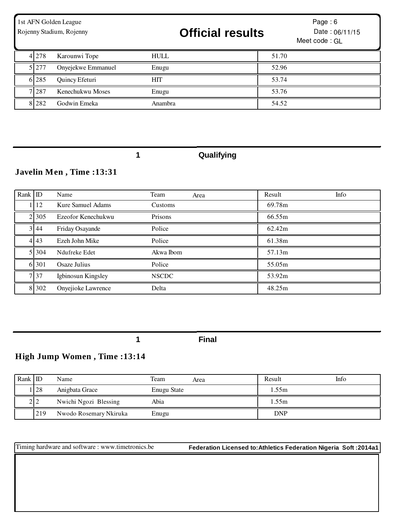| 1st AFN Golden League<br>Rojenny Stadium, Rojenny |       |                    | <b>Official results</b> | Page: $6$<br>Date: 06/11/15<br>Meet code: GL |
|---------------------------------------------------|-------|--------------------|-------------------------|----------------------------------------------|
|                                                   | 4 278 | Karounwi Tope      | <b>HULL</b>             | 51.70                                        |
|                                                   | 5 277 | Onyejekwe Emmanuel | Enugu                   | 52.96                                        |
|                                                   | 6 285 | Quincy Efeturi     | HIT                     | 53.74                                        |
|                                                   | 7 287 | Kenechukwu Moses   | Enugu                   | 53.76                                        |
|                                                   | 8 282 | Godwin Emeka       | Anambra                 | 54.52                                        |

**1 Qualifying**

# **Javelin Men , Time :13:31**

| Rank ID |             | Name               | Team<br>Area | Info<br>Result |
|---------|-------------|--------------------|--------------|----------------|
|         | 12          | Kure Samuel Adams  | Customs      | 69.78m         |
|         | 2 3 0 5     | Ezeofor Kenechukwu | Prisons      | 66.55m         |
|         | $3 \mid 44$ | Friday Osayande    | Police       | 62.42m         |
|         | 4 4 3       | Ezeh John Mike     | Police       | 61.38m         |
|         | 5 3 0 4     | Ndufreke Edet      | Akwa Ibom    | 57.13m         |
|         | 6 301       | Osaze Julius       | Police       | 55.05m         |
|         | 737         | Igbinosun Kingsley | <b>NSCDC</b> | 53.92m         |
|         | 8 302       | Onyejioke Lawrence | Delta        | 48.25m         |

**1 Final**

# **High Jump Women , Time :13:14**

| Rank $ $ ID |            | Name                   | Team        | Area | Result     | Info |
|-------------|------------|------------------------|-------------|------|------------|------|
|             | <b>128</b> | Anigbata Grace         | Enugu State |      | .55m       |      |
|             | $2\vert$ 2 | Nwichi Ngozi Blessing  | Abia        |      | l.55m      |      |
|             | 219        | Nwodo Rosemary Nkiruka | Enugu       |      | <b>DNP</b> |      |

Timing hardware and software : www.timetronics.be **Federation Licensed to:Athletics Federation Nigeria Soft :2014a1**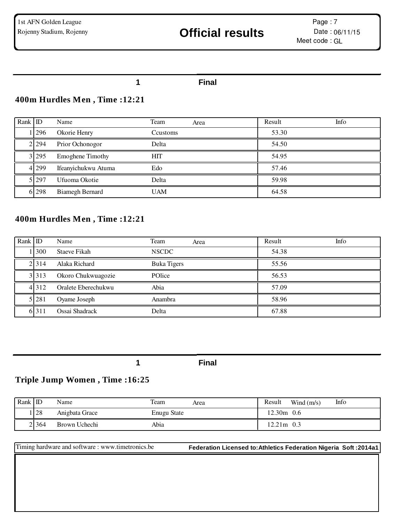#### **1 Final**

#### **400m Hurdles Men , Time :12:21**

| Rank $ $ ID |            | Name                    | Team<br>Area | Info<br>Result |
|-------------|------------|-------------------------|--------------|----------------|
|             | <b>296</b> | Okorie Henry            | Ccustoms     | 53.30          |
|             | 2 2 2 3 4  | Prior Ochonogor         | Delta        | 54.50          |
|             | 3 295      | <b>Emoghene Timothy</b> | <b>HIT</b>   | 54.95          |
|             | 4 299      | Ifeanyichukwu Atuma     | Edo          | 57.46          |
|             | 5 297      | Ufuoma Okotie           | Delta        | 59.98          |
|             | 6 298      | <b>Biamegh Bernard</b>  | <b>UAM</b>   | 64.58          |

### **400m Hurdles Men , Time :12:21**

| Rank ID |         | Name                | Team               | Area | Result | Info |
|---------|---------|---------------------|--------------------|------|--------|------|
|         | 300     | <b>Staeve Fikah</b> | <b>NSCDC</b>       |      | 54.38  |      |
|         | 2.314   | Alaka Richard       | <b>Buka Tigers</b> |      | 55.56  |      |
|         | 3 3 1 3 | Okoro Chukwuagozie  | POlice             |      | 56.53  |      |
|         | 4 3 1 2 | Oralete Eberechukwu | Abia               |      | 57.09  |      |
|         | 5 281   | Oyame Joseph        | Anambra            |      | 58.96  |      |
|         | 6 3 1 1 | Ossai Shadrack      | Delta              |      | 67.88  |      |

**1 Final**

#### **Triple Jump Women , Time :16:25**

| Rank $ D $ |               | Name           | Team<br>Area       | Result | Wind $(m/s)$ | Info |
|------------|---------------|----------------|--------------------|--------|--------------|------|
|            | <sup>28</sup> | Anigbata Grace | <b>Enugu State</b> | 12.30m | 0.6          |      |
|            | 2 3 6 4       | Brown Uchechi  | Abia               | 12.21m | 0.3          |      |

Timing hardware and software : www.timetronics.be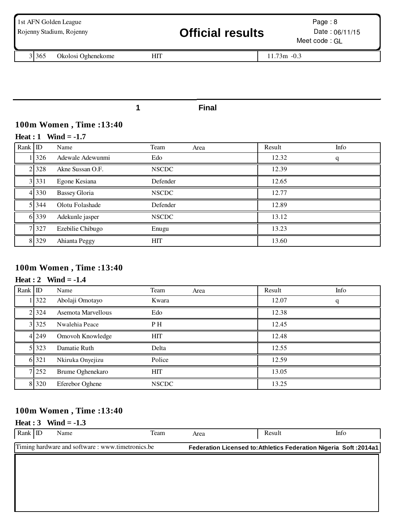| 1st AFN Golden League<br>Rojenny Stadium, Rojenny |    | <b>Official results</b> | Page: $8$<br>Date: $06/11/15$<br>Meet code: GL |
|---------------------------------------------------|----|-------------------------|------------------------------------------------|
| 3 3 6 5<br>Okolosi Oghenekome                     | HП |                         | $11.73m - 0.3$                                 |
|                                                   |    |                         |                                                |

# **100m Women , Time :13:40**

#### **Heat : 1 Wind = -1.7**

| Rank ID |         | Name                 | Team         | Area | Result | Info |
|---------|---------|----------------------|--------------|------|--------|------|
|         | 326     | Adewale Adewunmi     | Edo          |      | 12.32  | q    |
|         | 2 3 2 8 | Akne Sussan O.F.     | <b>NSCDC</b> |      | 12.39  |      |
|         | 3 3 3 1 | Egone Kesiana        | Defender     |      | 12.65  |      |
|         | 4 3 3 0 | <b>Bassey Gloria</b> | <b>NSCDC</b> |      | 12.77  |      |
|         | 5 3 4 4 | Olotu Folashade      | Defender     |      | 12.89  |      |
|         | 6 3 3 9 | Adekunle jasper      | <b>NSCDC</b> |      | 13.12  |      |
|         | 7 3 2 7 | Ezebilie Chibugo     | Enugu        |      | 13.23  |      |
|         | 8 3 2 9 | Ahianta Peggy        | <b>HIT</b>   |      | 13.60  |      |

#### **100m Women , Time :13:40**

#### **Heat : 2 Wind = -1.4**

| Rank ID |         | Name               | Team           | Area | Result | Info |
|---------|---------|--------------------|----------------|------|--------|------|
|         | 322     | Abolaji Omotayo    | Kwara          |      | 12.07  | q    |
|         | 2 3 2 4 | Asemota Marvellous | Edo            |      | 12.38  |      |
|         | 3 3 2 5 | Nwalehia Peace     | P <sub>H</sub> |      | 12.45  |      |
|         | 4 2 4 9 | Omovoh Knowledge   | <b>HIT</b>     |      | 12.48  |      |
|         | 5 323   | Damatie Ruth       | Delta          |      | 12.55  |      |
|         | 6 321   | Nkiruka Onyejizu   | Police         |      | 12.59  |      |
|         | 7 252   | Brume Oghenekaro   | <b>HIT</b>     |      | 13.05  |      |
|         | 8 3 2 0 | Eferebor Oghene    | <b>NSCDC</b>   |      | 13.25  |      |

### **100m Women , Time :13:40**

#### **Heat : 3 Wind = -1.3**

| Rank ID | Name                                                                                                                  | Team | Area | Result | Info |  |
|---------|-----------------------------------------------------------------------------------------------------------------------|------|------|--------|------|--|
|         | Timing hardware and software: www.timetronics.be<br>Federation Licensed to: Athletics Federation Nigeria Soft: 2014a1 |      |      |        |      |  |
|         |                                                                                                                       |      |      |        |      |  |
|         |                                                                                                                       |      |      |        |      |  |
|         |                                                                                                                       |      |      |        |      |  |
|         |                                                                                                                       |      |      |        |      |  |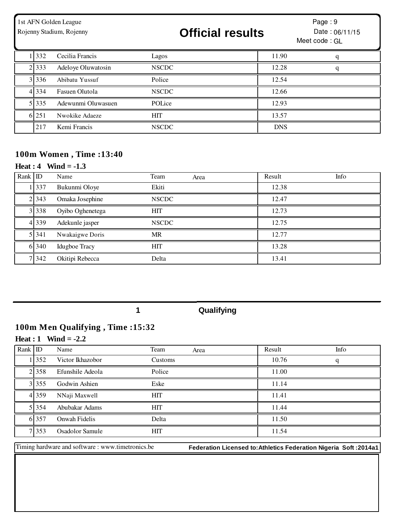| 1st AFN Golden League<br>Rojenny Stadium, Rojenny |           |                    | <b>Official results</b> |  | Page: $9$<br>Date: 06/11/15<br>Meet code: GL |   |
|---------------------------------------------------|-----------|--------------------|-------------------------|--|----------------------------------------------|---|
|                                                   | 332       | Cecilia Francis    | Lagos                   |  | 11.90                                        | q |
|                                                   | 2 3 3 3   | Adeloye Oluwatosin | <b>NSCDC</b>            |  | 12.28                                        | q |
|                                                   | 3 3 3 3 6 | Abibatu Yussuf     | Police                  |  | 12.54                                        |   |
|                                                   | 4 3 3 4   | Fasuen Olutola     | <b>NSCDC</b>            |  | 12.66                                        |   |
|                                                   | 5 3 3 5   | Adewunmi Oluwasuen | POLice                  |  | 12.93                                        |   |
|                                                   | 6 251     | Nwokike Adaeze     | <b>HIT</b>              |  | 13.57                                        |   |
|                                                   | 217       | Kemi Francis       | <b>NSCDC</b>            |  | <b>DNS</b>                                   |   |

### **100m Women , Time :13:40**

#### **Heat : 4 Wind = -1.3**

| Rank ID |         | Name                 | Team         | Area | Result | Info |
|---------|---------|----------------------|--------------|------|--------|------|
|         | 337     | Bukunmi Oloye        | Ekiti        |      | 12.38  |      |
|         | 2 3 4 3 | Omaka Josephine      | <b>NSCDC</b> |      | 12.47  |      |
|         | 3 3 3 8 | Oyibo Oghenetega     | <b>HIT</b>   |      | 12.73  |      |
|         | 4 3 3 9 | Adekunle jasper      | <b>NSCDC</b> |      | 12.75  |      |
|         | 5 3 4 1 | Nwakaigwe Doris      | <b>MR</b>    |      | 12.77  |      |
|         | 6 340   | <b>Idugboe Tracy</b> | HIT          |      | 13.28  |      |
|         | 7 342   | Okitipi Rebecca      | Delta        |      | 13.41  |      |

**1 Qualifying**

# **100m Men Qualifying , Time :15:32**

#### **Heat : 1 Wind = -2.2**

| Rank ID |           | Name             | Team<br>Area | Result | Info |
|---------|-----------|------------------|--------------|--------|------|
|         | 1352      | Victor Ikhazobor | Customs      | 10.76  | a    |
|         | 2.358     | Efunshile Adeola | Police       | 11.00  |      |
|         | 3 3 3 5 5 | Godwin Ashien    | Eske         | 11.14  |      |
|         | 4 3 5 9   | NNaji Maxwell    | <b>HIT</b>   | 11.41  |      |
|         | 5 3 3 5 4 | Abubakar Adams   | <b>HIT</b>   | 11.44  |      |
|         | 6 3 5 7   | Onwah Fidelis    | Delta        | 11.50  |      |
|         | 7 353     | Osadolor Samule  | <b>HIT</b>   | 11.54  |      |

Timing hardware and software : www.timetronics.be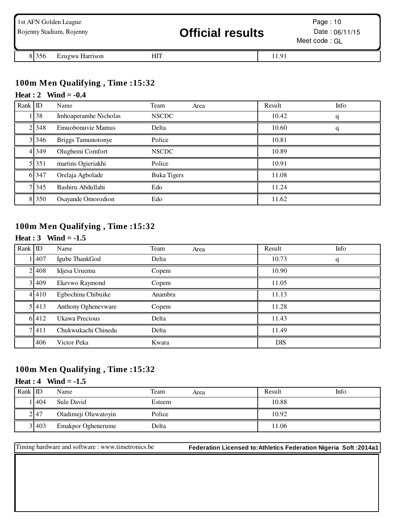|         | 1st AFN Golden League<br>Rojenny Stadium, Rojenny | <b>Official results</b> |       | Page: 10<br>Date: $06/11/15$<br>Meet code: GL |
|---------|---------------------------------------------------|-------------------------|-------|-----------------------------------------------|
| 8 3 5 6 | Ezugwu Harrison                                   |                         | 11.91 |                                               |

#### **100m Men Qualifying , Time :15:32**

#### **Heat : 2 Wind = -0.4**

| Rank ID |         | Name                      | Team<br>Area       | Result | Info |
|---------|---------|---------------------------|--------------------|--------|------|
|         | 38      | Imhoaperamhe Nicholas     | <b>NSCDC</b>       | 10.42  |      |
|         | 2 3 4 8 | Emuobonuvie Mamus         | Delta              | 10.60  | q    |
|         | 3 3 4 6 | <b>Briggs Tamunotonye</b> | Police             | 10.81  |      |
|         | 4 3 4 9 | Olugbemi Comfort          | <b>NSCDC</b>       | 10.89  |      |
|         | 5 351   | martins Ogieriakhi        | Police             | 10.91  |      |
|         | 6 3 4 7 | Orelaja Agbolade          | <b>Buka Tigers</b> | 11.08  |      |
|         | 7 3 4 5 | Bashiru Abdullahi         | Edo                | 11.24  |      |
|         | 8 350   | Osayande Omorodion        | Edo                | 11.62  |      |

# **100m Men Qualifying , Time :15:32**

#### **Heat : 3 Wind = -1.5**

| Rank ID |         | Name                | Team    | Area | Result     | Info |
|---------|---------|---------------------|---------|------|------------|------|
|         | 1407    | Igube ThankGod      | Delta   |      | 10.73      | q    |
|         | 2 4 0 8 | Idjesa Uruemu       | Copem   |      | 10.90      |      |
|         | 3 4 0 9 | Ekevwo Raymond      | Copem   |      | 11.05      |      |
|         | 4410    | Egbochina Chibuike  | Anambra |      | 11.13      |      |
|         | 5 4 1 3 | Anthony Oghenevware | Copem   |      | 11.28      |      |
|         | 6 4 1 2 | Ukawa Precious      | Delta   |      | 11.43      |      |
|         | 7411    | Chukwukachi Chinedu | Delta   |      | 11.49      |      |
|         | 406     | Victor Peka         | Kwara   |      | <b>DIS</b> |      |

#### **100m Men Qualifying , Time :15:32**

#### **Heat : 4 Wind = -1.5**

| Rank ID |         | Name                 | Team   | Area | Result | Info |
|---------|---------|----------------------|--------|------|--------|------|
|         | 1404    | Sule David           | Esteem |      | 10.88  |      |
|         | 247     | Oladimeji Oluwatoyin | Police |      | 10.92  |      |
|         | 3 4 0 3 | Emakpor Oghenerume   | Delta  |      | 11.06  |      |

Timing hardware and software : www.timetronics.be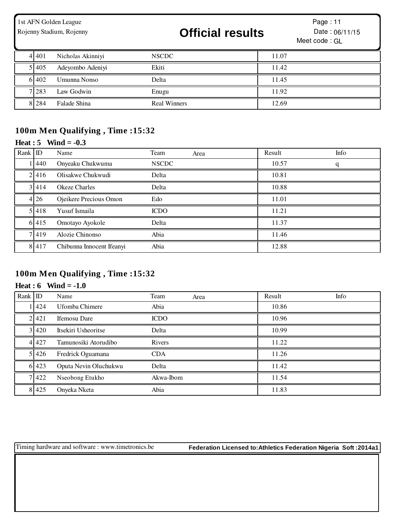|           | 1st AFN Golden League<br>Rojenny Stadium, Rojenny | <b>Official results</b> |       | Page: $11$<br>Date: 06/11/15<br>Meet code: GL |
|-----------|---------------------------------------------------|-------------------------|-------|-----------------------------------------------|
| 4 4 4 0 1 | Nicholas Akinniyi                                 | <b>NSCDC</b>            | 11.07 |                                               |
| 5 4 0 5   | Adeyombo Adeniyi                                  | Ekiti                   | 11.42 |                                               |
| 6 402     | Umunna Nonso                                      | Delta                   | 11.45 |                                               |
| 7 283     | Law Godwin                                        | Enugu                   | 11.92 |                                               |
| 8 2 8 4   | Falade Shina                                      | <b>Real Winners</b>     | 12.69 |                                               |

### **100m Men Qualifying , Time :15:32**

### **Heat : 5 Wind = -0.3**

| Rank ID |         | Name                      | Team         | Area | Result | Info |
|---------|---------|---------------------------|--------------|------|--------|------|
|         | 440     | Onyeaku Chukwuma          | <b>NSCDC</b> |      | 10.57  | q    |
|         | 2.416   | Olisakwe Chukwudi         | Delta        |      | 10.81  |      |
|         | 3 4 1 4 | <b>Okeze Charles</b>      | Delta        |      | 10.88  |      |
|         | 4 26    | Ojeikere Precious Omon    | Edo          |      | 11.01  |      |
|         | 5.418   | Yusuf Ismaila             | <b>ICDO</b>  |      | 11.21  |      |
|         | 6 4 1 5 | Omotayo Ayokole           | Delta        |      | 11.37  |      |
|         | 7419    | Alozie Chinonso           | Abia         |      | 11.46  |      |
|         | 8 4 1 7 | Chibunna Innocent Ifeanyi | Abia         |      | 12.88  |      |

# **100m Men Qualifying , Time :15:32**

#### **Heat : 6 Wind = -1.0**

| Rank ID |         | Name                  | Team        | Area | Result | Info |
|---------|---------|-----------------------|-------------|------|--------|------|
|         | 424     | Ufomba Chimere        | Abia        |      | 10.86  |      |
|         | 2.421   | <b>Ifemosu</b> Dare   | <b>ICDO</b> |      | 10.96  |      |
|         | 3 420   | Itsekiri Usheoritse   | Delta       |      | 10.99  |      |
|         | 4 4 2 7 | Tamunosiki Atorudibo  | Rivers      |      | 11.22  |      |
|         | 5 4 2 6 | Fredrick Oguamana     | <b>CDA</b>  |      | 11.26  |      |
|         | 6 4 2 3 | Oputa Nevin Oluchukwu | Delta       |      | 11.42  |      |
|         | 7422    | Nseobong Etukho       | Akwa-Ibom   |      | 11.54  |      |
|         | 8 4 2 5 | Onyeka Nketa          | Abia        |      | 11.83  |      |

Timing hardware and software : www.timetronics.be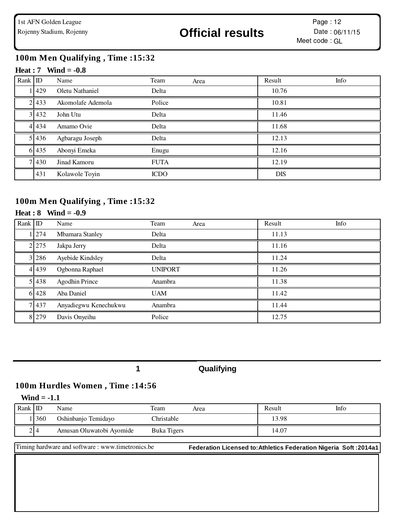### **100m Men Qualifying , Time :15:32**

#### **Heat : 7 Wind = -0.8**

| Rank ID |         | Name              | Team        | Area | Result     | Info |
|---------|---------|-------------------|-------------|------|------------|------|
|         | 1429    | Oletu Nathaniel   | Delta       |      | 10.76      |      |
|         | 2 4 3 3 | Akomolafe Ademola | Police      |      | 10.81      |      |
|         | 3 4 3 2 | John Utu          | Delta       |      | 11.46      |      |
|         | 4 4 3 4 | Amamo Ovie        | Delta       |      | 11.68      |      |
|         | 5 4 3 6 | Agbaragu Joseph   | Delta       |      | 12.13      |      |
|         | 6 4 3 5 | Abonyi Emeka      | Enugu       |      | 12.16      |      |
|         | 7 4 3 0 | Jinad Kamoru      | <b>FUTA</b> |      | 12.19      |      |
|         | 431     | Kolawole Toyin    | <b>ICDO</b> |      | <b>DIS</b> |      |

#### **100m Men Qualifying , Time :15:32**

#### **Heat : 8 Wind = -0.9**

| Rank ID |         | Name                  | Team           | Area | Result | Info |
|---------|---------|-----------------------|----------------|------|--------|------|
|         | 1 274   | Mbamara Stanley       | Delta          |      | 11.13  |      |
|         | 2 2 7 5 | Jakpa Jerry           | Delta          |      | 11.16  |      |
|         | 3 286   | Ayebide Kindsley      | Delta          |      | 11.24  |      |
|         | 4 4 3 9 | Ogbonna Raphael       | <b>UNIPORT</b> |      | 11.26  |      |
|         | 5 4 3 8 | <b>Agodhin Prince</b> | Anambra        |      | 11.38  |      |
|         | 6 4 2 8 | Aba Daniel            | <b>UAM</b>     |      | 11.42  |      |
|         | 7 437   | Anyadiegwu Kenechukwu | Anambra        |      | 11.44  |      |
|         | 8 2 7 9 | Davis Onyeihu         | Police         |      | 12.75  |      |

#### **1 Qualifying**

#### **100m Hurdles Women , Time :14:56**

#### **Wind = -1.1**

| Rank $ $ ID |            | Name                     | Team               | Area | Result | Info |
|-------------|------------|--------------------------|--------------------|------|--------|------|
|             | <b>360</b> | Oshinbanjo Temidayo      | Christable         |      | 13.98  |      |
|             | 2 4        | Amusan Oluwatobi Avomide | <b>Buka Tigers</b> |      | 14.07  |      |

Timing hardware and software : www.timetronics.be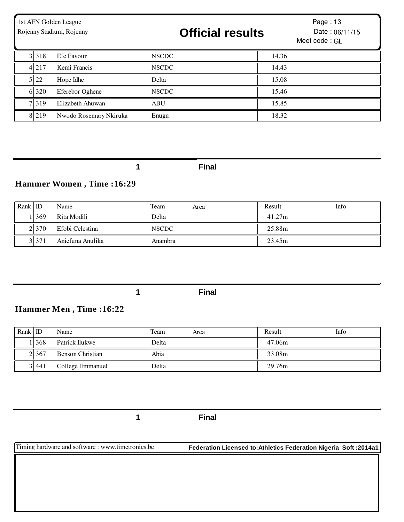| 1st AFN Golden League<br>Rojenny Stadium, Rojenny |         |                        | <b>Official results</b> |  | Page: 13<br>Date: 06/11/15<br>Meet code: GL |  |
|---------------------------------------------------|---------|------------------------|-------------------------|--|---------------------------------------------|--|
|                                                   | 3 3 1 8 | Efe Favour             | <b>NSCDC</b>            |  | 14.36                                       |  |
|                                                   | 4 2 1 7 | Kemi Francis           | <b>NSCDC</b>            |  | 14.43                                       |  |
|                                                   | 5 22    | Hope Idhe              | Delta                   |  | 15.08                                       |  |
|                                                   | 6 320   | Eferebor Oghene        | <b>NSCDC</b>            |  | 15.46                                       |  |
| 7 <sub>1</sub>                                    | 319     | Elizabeth Ahuwan       | <b>ABU</b>              |  | 15.85                                       |  |
|                                                   | 8 2 1 9 | Nwodo Rosemary Nkiruka | Enugu                   |  | 18.32                                       |  |

### **Hammer Women , Time :16:29**

| Rank $ D $ |         | Name             | Team         | Area | Result | Info |
|------------|---------|------------------|--------------|------|--------|------|
|            | 1369    | Rita Modili      | Delta        |      | 41.27m |      |
|            | 2 370   | Efobi Celestina  | <b>NSCDC</b> |      | 25.88m |      |
|            | 3 3 7 1 | Aniefuna Anulika | Anambra      |      | 23.45m |      |

**1 Final**

#### **Hammer Men , Time :16:22**

| $Rank$ ID |            | Name             | Team  | Area | Result | Info |
|-----------|------------|------------------|-------|------|--------|------|
|           | <b>368</b> | Patrick Ilukwe   | Delta |      | 47.06m |      |
|           | 2 3 6 7    | Benson Christian | Abia  |      | 33.08m |      |
|           | 3 441      | College Emmanuel | Delta |      | 29.76m |      |

**1 Final**

Timing hardware and software : www.timetronics.be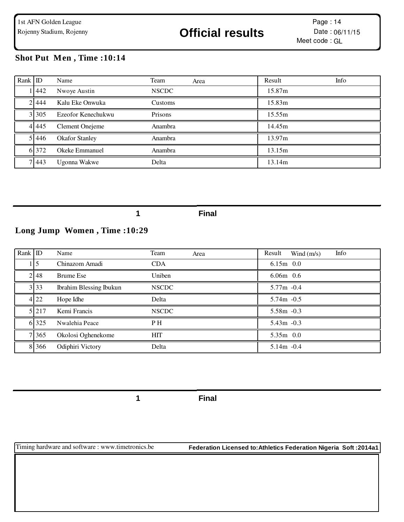#### **Shot Put Men , Time :10:14**

| Rank ID |           | Name                  | Team<br>Area | Result<br>Info |
|---------|-----------|-----------------------|--------------|----------------|
|         | 1442      | Nwoye Austin          | <b>NSCDC</b> | 15.87m         |
|         | 2.444     | Kalu Eke Onwuka       | Customs      | 15.83m         |
|         | 3 3 3 0 5 | Ezeofor Kenechukwu    | Prisons      | 15.55m         |
|         | 4 4 4 5   | Clement Onejeme       | Anambra      | 14.45m         |
|         | 5.446     | <b>Okafor Stanley</b> | Anambra      | 13.97m         |
|         | 6 372     | Okeke Emmanuel        | Anambra      | 13.15m         |
|         | 7 4 4 3   | Ugonna Wakwe          | Delta        | 13.14m         |

**1 Final**

# **Long Jump Women , Time :10:29**

| Rank ID |                  | Name                           | Team         | Area | Result        | Wind $(m/s)$ | Info |
|---------|------------------|--------------------------------|--------------|------|---------------|--------------|------|
|         | 15               | Chinazom Amadi                 | <b>CDA</b>   |      | $6.15m$ 0.0   |              |      |
|         | 2.48             | <b>Brume Ese</b>               | Uniben       |      | $6.06m$ 0.6   |              |      |
|         | 3 3 3            | <b>Ibrahim Blessing Ibukun</b> | <b>NSCDC</b> |      | $5.77m - 0.4$ |              |      |
|         | $4\overline{22}$ | Hope Idhe                      | Delta        |      | $5.74m - 0.5$ |              |      |
|         | 5 2 1 7          | Kemi Francis                   | <b>NSCDC</b> |      | $5.58m - 0.3$ |              |      |
|         | 6 325            | Nwalehia Peace                 | P H          |      | $5.43m -0.3$  |              |      |
|         | 7 3 6 5          | Okolosi Oghenekome             | <b>HIT</b>   |      | $5.35m$ 0.0   |              |      |
|         | 8 3 6 6          | Odiphiri Victory               | Delta        |      | $5.14m - 0.4$ |              |      |

**1 Final**

Timing hardware and software : www.timetronics.be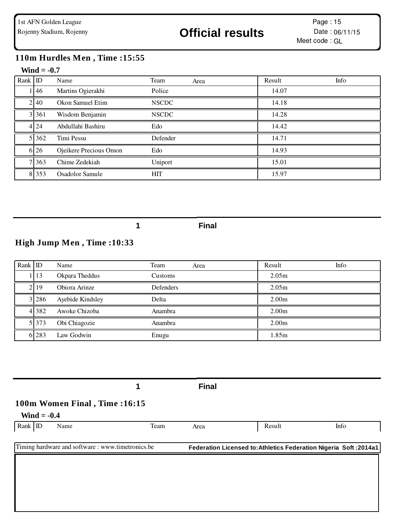### **110m Hurdles Men , Time :15:55**

#### **Wind = -0.7**

| Rank ID |         | Name                   | Team         | Area | Result | Info |
|---------|---------|------------------------|--------------|------|--------|------|
|         | 1146    | Martins Ogierakhi      | Police       |      | 14.07  |      |
|         | 2 40    | Okon Samuel Etim       | <b>NSCDC</b> |      | 14.18  |      |
|         | 3 3 6 1 | Wisdom Benjamin        | <b>NSCDC</b> |      | 14.28  |      |
|         | 4 24    | Abdullahi Bashiru      | Edo          |      | 14.42  |      |
|         | 5 3 6 2 | Timi Pessu             | Defender     |      | 14.71  |      |
|         | 6 26    | Ojeikere Precious Omon | Edo          |      | 14.93  |      |
|         | 7 3 6 3 | Chime Zedekiah         | Uniport      |      | 15.01  |      |
|         | 8 3 5 3 | Osadolor Samule        | <b>HIT</b>   |      | 15.97  |      |

#### **1 Final**

# **High Jump Men , Time :10:33**

| Rank ID |         | Name             | Team<br>Area     | Result<br>Info    |
|---------|---------|------------------|------------------|-------------------|
|         | 13      | Okpara Theddus   | Customs          | 2.05 <sub>m</sub> |
|         | 2119    | Obiora Arinze    | <b>Defenders</b> | 2.05 <sub>m</sub> |
|         | 3 28 6  | Ayebide Kindsley | Delta            | 2.00 <sub>m</sub> |
|         | 4 3 8 2 | Awoke Chizoba    | Anambra          | 2.00 <sub>m</sub> |
|         | 5 3 7 3 | Obi Chiagozie    | Anambra          | 2.00 <sub>m</sub> |
|         | 6 283   | Law Godwin       | Enugu            | 1.85m             |

|                                                  |      | <b>Final</b> |                                                                   |      |
|--------------------------------------------------|------|--------------|-------------------------------------------------------------------|------|
| 100m Women Final, Time:16:15<br>Wind $= -0.4$    |      |              |                                                                   |      |
| Rank ID<br>Name                                  | Team | Area         | Result                                                            | Info |
| Timing hardware and software: www.timetronics.be |      |              | Federation Licensed to: Athletics Federation Nigeria Soft: 2014a1 |      |
|                                                  |      |              |                                                                   |      |
|                                                  |      |              |                                                                   |      |
|                                                  |      |              |                                                                   |      |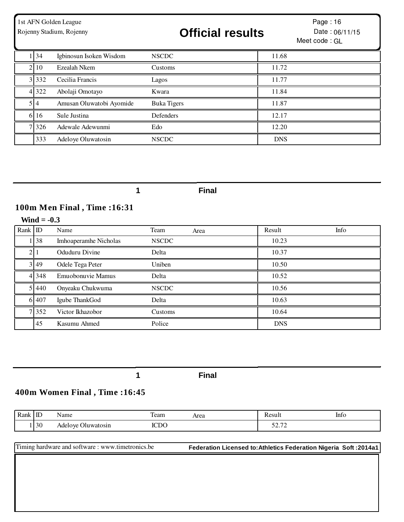| 1st AFN Golden League<br>Rojenny Stadium, Rojenny |                          | <b>Official results</b> |            | Page: 16<br>Date: 06/11/15<br>Meet code: GL |
|---------------------------------------------------|--------------------------|-------------------------|------------|---------------------------------------------|
| 34                                                | Igbinosun Isoken Wisdom  | <b>NSCDC</b>            | 11.68      |                                             |
| 2 10                                              | Ezealah Nkem             | Customs                 | 11.72      |                                             |
| 3 3 3 2                                           | Cecilia Francis          | Lagos                   | 11.77      |                                             |
| 4 3 2 2                                           | Abolaji Omotayo          | Kwara                   | 11.84      |                                             |
| $5\vert 4$                                        | Amusan Oluwatobi Ayomide | <b>Buka Tigers</b>      | 11.87      |                                             |
| 6 16                                              | Sule Justina             | Defenders               | 12.17      |                                             |
| 7 326                                             | Adewale Adewunmi         | Edo                     | 12.20      |                                             |
| 333                                               | Adeloye Oluwatosin       | <b>NSCDC</b>            | <b>DNS</b> |                                             |

# **100m Men Final , Time :16:31**

|                | Wind $= -0.3$ |                       |              |      |            |      |  |  |
|----------------|---------------|-----------------------|--------------|------|------------|------|--|--|
| Rank ID        |               | Name                  | Team         | Area | Result     | Info |  |  |
|                | 138           | Imhoaperamhe Nicholas | <b>NSCDC</b> |      | 10.23      |      |  |  |
| 2 <sup>1</sup> |               | Oduduru Divine        | Delta        |      | 10.37      |      |  |  |
|                | 3 4 9         | Odele Tega Peter      | Uniben       |      | 10.50      |      |  |  |
|                | 4 3 4 8       | Emuobonuvie Mamus     | Delta        |      | 10.52      |      |  |  |
|                | 5 4 4 0       | Onyeaku Chukwuma      | <b>NSCDC</b> |      | 10.56      |      |  |  |
|                | 6 407         | Igube ThankGod        | Delta        |      | 10.63      |      |  |  |
|                | 7 352         | Victor Ikhazobor      | Customs      |      | 10.64      |      |  |  |
|                | 45            | Kasumu Ahmed          | Police       |      | <b>DNS</b> |      |  |  |

**1 Final**

# **400m Women Final , Time :16:45**

| Rank | $\mathbf{r}$<br>ШU | Name                  | $\mathbf{r}$<br>Team | Area | יים ש<br>Result   | Info |
|------|--------------------|-----------------------|----------------------|------|-------------------|------|
|      | 30                 | Oluwatosin<br>Adelove | <b>ICDC</b>          |      | 50.70<br>J 4. I 4 |      |

| Timing hardware and software: www.timetronics.be | Federation Licensed to: Athletics Federation Nigeria Soft: 2014a1 |
|--------------------------------------------------|-------------------------------------------------------------------|
|                                                  |                                                                   |
|                                                  |                                                                   |
|                                                  |                                                                   |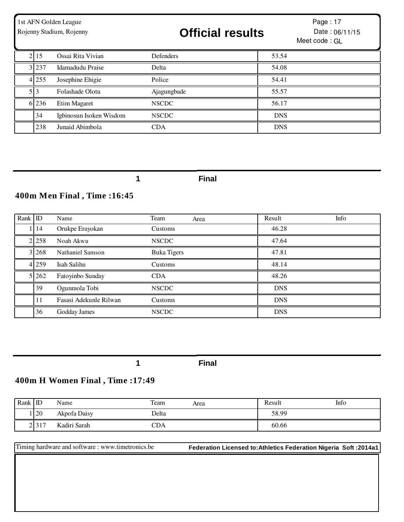| 1st AFN Golden League<br>Rojenny Stadium, Rojenny |            |                         | <b>Official results</b> |            | Page: 17<br>Date: 06/11/15<br>Meet code: GL |
|---------------------------------------------------|------------|-------------------------|-------------------------|------------|---------------------------------------------|
|                                                   | 2 15       | Ossai Rita Vivian       | Defenders               | 53.54      |                                             |
|                                                   | 3 2 3 7    | Idamadudu Praise        | Delta                   | 54.08      |                                             |
|                                                   | 4 255      | Josephine Ehigie        | Police                  | 54.41      |                                             |
|                                                   | $5 \mid 3$ | Folashade Olotu         | Ajagungbade             | 55.57      |                                             |
|                                                   | 6 236      | Etim Magaret            | <b>NSCDC</b>            | 56.17      |                                             |
|                                                   | 34         | Igbinosun Isoken Wisdom | <b>NSCDC</b>            | <b>DNS</b> |                                             |
|                                                   | 238        | Junaid Abimbola         | <b>CDA</b>              | <b>DNS</b> |                                             |

# **400m Men Final , Time :16:45**

| Rank ID |         | Name                    | Team<br>Area       | Info<br>Result |
|---------|---------|-------------------------|--------------------|----------------|
|         | 1 14    | Orukpe Erayokan         | Customs            | 46.28          |
|         | 2 2 5 8 | Noah Akwu               | <b>NSCDC</b>       | 47.64          |
|         | 3 2 6 8 | <b>Nathaniel Samson</b> | <b>Buka Tigers</b> | 47.81          |
|         | 4 2 5 9 | Isah Salihu             | Customs            | 48.14          |
|         | 5 262   | Fatoyinbo Sunday        | <b>CDA</b>         | 48.26          |
|         | 39      | Ogunmola Tobi           | <b>NSCDC</b>       | <b>DNS</b>     |
|         | 11      | Fasasi Adekunle Rilwan  | Customs            | <b>DNS</b>     |
|         | 36      | Godday James            | <b>NSCDC</b>       | <b>DNS</b>     |

**1 Final**

#### **400m H Women Final , Time :17:49**

| Rank ID |      | Name         | Team  | Area | Result | Info |
|---------|------|--------------|-------|------|--------|------|
|         | 20   | Akpofa Daisy | Delta |      | 58.99  |      |
|         | 2317 | Kadiri Sarah | CDA   |      | 60.66  |      |

Timing hardware and software : www.timetronics.be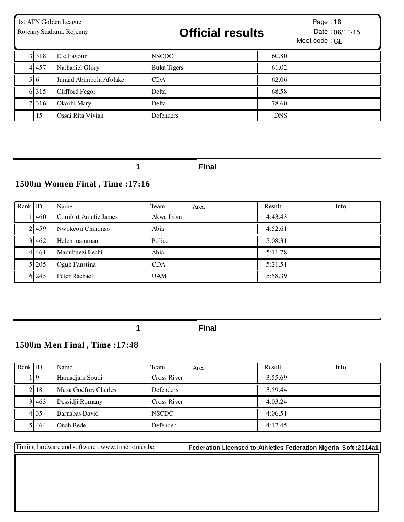| 1st AFN Golden League<br>Rojenny Stadium, Rojenny |         |                         | <b>Official results</b> |            | Page: 18<br>Date: $06/11/15$<br>Meet code: GL |
|---------------------------------------------------|---------|-------------------------|-------------------------|------------|-----------------------------------------------|
|                                                   | 3 3 1 8 | Efe Favour              | <b>NSCDC</b>            | 60.80      |                                               |
|                                                   | 4 4 5 7 | Nathaniel Glory         | <b>Buka Tigers</b>      | 61.02      |                                               |
|                                                   | 516     | Junaid Abimbola Afolake | <b>CDA</b>              | 62.06      |                                               |
|                                                   | 6 3 1 5 | Clifford Fegor          | Delta                   | 68.58      |                                               |
|                                                   | 7 3 1 6 | Okorhi Mary             | Delta                   | 78.60      |                                               |
|                                                   | 15      | Ossai Rita Vivian       | Defenders               | <b>DNS</b> |                                               |

# **1500m Women Final , Time :17:16**

| $Rank$ ID |           | Name                         | Team       | Area | Result  | Info |
|-----------|-----------|------------------------------|------------|------|---------|------|
|           | $-460$    | <b>Comfort Anietie James</b> | Akwa Ibom  |      | 4:43.43 |      |
|           | 2.459     | Nwokeoji Chinonso            | Abia       |      | 4:52.61 |      |
|           | 3 4 6 2   | Helen mamman                 | Police     |      | 5:08.31 |      |
|           | 4 4 4 6 1 | Madubuezi Lechi              | Abia       |      | 5:11.78 |      |
|           | 5 205     | Oguh Faustina                | <b>CDA</b> |      | 5:21.51 |      |
|           | 6 245     | Peter Rachael                | UAM        |      | 5:58.39 |      |

**1 Final**

# **1500m Men Final , Time :17:48**

| Rank ID |         | Name                 | Team<br>Area     | Info<br>Result |
|---------|---------|----------------------|------------------|----------------|
|         | 19      | Hamadjam Soudi       | Cross River      | 3:55.69        |
|         | 2.18    | Musa Godfrey Charles | <b>Defenders</b> | 3:59.44        |
|         | 3 4 6 3 | Dessidji Romany      | Cross River      | 4:03.24        |
|         | 4 35    | Barnabas David       | <b>NSCDC</b>     | 4:06.51        |
|         | 51464   | Onah Bede            | Defender         | 4:12.45        |

Timing hardware and software : www.timetronics.be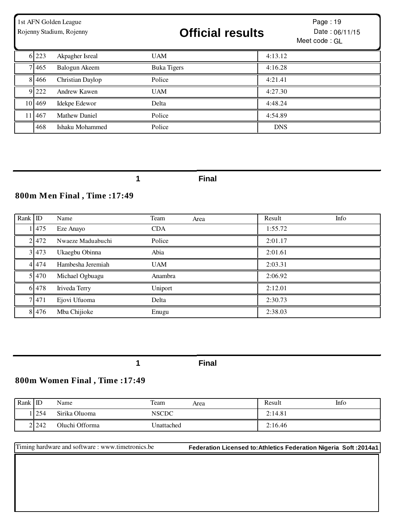| 1st AFN Golden League<br>Rojenny Stadium, Rojenny |         |                  | <b>Official results</b> |            | Page: 19<br>Date: 06/11/15<br>Meet code: GL |
|---------------------------------------------------|---------|------------------|-------------------------|------------|---------------------------------------------|
|                                                   | 6 223   | Akpagher Isreal  | <b>UAM</b>              | 4:13.12    |                                             |
|                                                   | 7 4 6 5 | Balogun Akeem    | <b>Buka Tigers</b>      | 4:16.28    |                                             |
|                                                   | 8 4 6 6 | Christian Daylop | Police                  | 4:21.41    |                                             |
|                                                   | 9 2 2 2 | Andrew Kawen     | <b>UAM</b>              | 4:27.30    |                                             |
|                                                   | 10 469  | Idekpe Edewor    | Delta                   | 4:48.24    |                                             |
|                                                   | 11 467  | Mathew Daniel    | Police                  | 4:54.89    |                                             |
|                                                   | 468     | Ishaku Mohammed  | Police                  | <b>DNS</b> |                                             |

# **800m Men Final , Time :17:49**

| Rank ID |         | Name              | Team       | Area | Result  | Info |
|---------|---------|-------------------|------------|------|---------|------|
|         | 1475    | Eze Anayo         | <b>CDA</b> |      | 1:55.72 |      |
|         | 2.472   | Nwaeze Maduabuchi | Police     |      | 2:01.17 |      |
|         | 3.473   | Ukaegbu Obinna    | Abia       |      | 2:01.61 |      |
|         | 4 4 7 4 | Hambesha Jeremiah | <b>UAM</b> |      | 2:03.31 |      |
|         | 5 470   | Michael Ogbuagu   | Anambra    |      | 2:06.92 |      |
|         | 6 4 7 8 | Iriveda Terry     | Uniport    |      | 2:12.01 |      |
|         | 7 471   | Ejovi Ufuoma      | Delta      |      | 2:30.73 |      |
|         | 8 4 7 6 | Mba Chijioke      | Enugu      |      | 2:38.03 |      |

**1 Final**

### **800m Women Final , Time :17:49**

| Rank $ D $ |            | Name           | Team         | Area | Result  | Info |
|------------|------------|----------------|--------------|------|---------|------|
|            | <b>254</b> | Sirika Oluoma  | <b>NSCDC</b> |      | 2:14.81 |      |
|            | 2.242      | Oluchi Offorma | Jnattached   |      | 2:16.46 |      |

Timing hardware and software : www.timetronics.be **Federation Licensed to:Athletics Federation Nigeria Soft :2014a1**